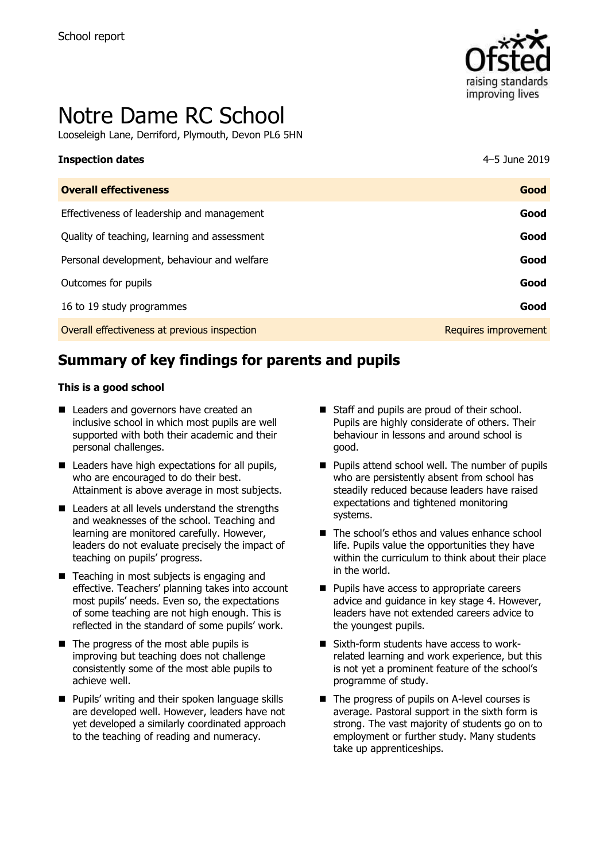

# Notre Dame RC School

Looseleigh Lane, Derriford, Plymouth, Devon PL6 5HN

# **Inspection dates** 4–5 June 2019

| <b>Overall effectiveness</b>                 | Good                 |
|----------------------------------------------|----------------------|
| Effectiveness of leadership and management   | Good                 |
| Quality of teaching, learning and assessment | Good                 |
| Personal development, behaviour and welfare  | Good                 |
| Outcomes for pupils                          | Good                 |
| 16 to 19 study programmes                    | Good                 |
| Overall effectiveness at previous inspection | Requires improvement |

# **Summary of key findings for parents and pupils**

#### **This is a good school**

- Leaders and governors have created an inclusive school in which most pupils are well supported with both their academic and their personal challenges.
- Leaders have high expectations for all pupils, who are encouraged to do their best. Attainment is above average in most subjects.
- Leaders at all levels understand the strengths and weaknesses of the school. Teaching and learning are monitored carefully. However, leaders do not evaluate precisely the impact of teaching on pupils' progress.
- Teaching in most subjects is engaging and effective. Teachers' planning takes into account most pupils' needs. Even so, the expectations of some teaching are not high enough. This is reflected in the standard of some pupils' work.
- $\blacksquare$  The progress of the most able pupils is improving but teaching does not challenge consistently some of the most able pupils to achieve well.
- **Pupils' writing and their spoken language skills** are developed well. However, leaders have not yet developed a similarly coordinated approach to the teaching of reading and numeracy.
- Staff and pupils are proud of their school. Pupils are highly considerate of others. Their behaviour in lessons and around school is good.
- **Pupils attend school well. The number of pupils** who are persistently absent from school has steadily reduced because leaders have raised expectations and tightened monitoring systems.
- The school's ethos and values enhance school life. Pupils value the opportunities they have within the curriculum to think about their place in the world.
- **Pupils have access to appropriate careers** advice and guidance in key stage 4. However, leaders have not extended careers advice to the youngest pupils.
- Sixth-form students have access to workrelated learning and work experience, but this is not yet a prominent feature of the school's programme of study.
- The progress of pupils on A-level courses is average. Pastoral support in the sixth form is strong. The vast majority of students go on to employment or further study. Many students take up apprenticeships.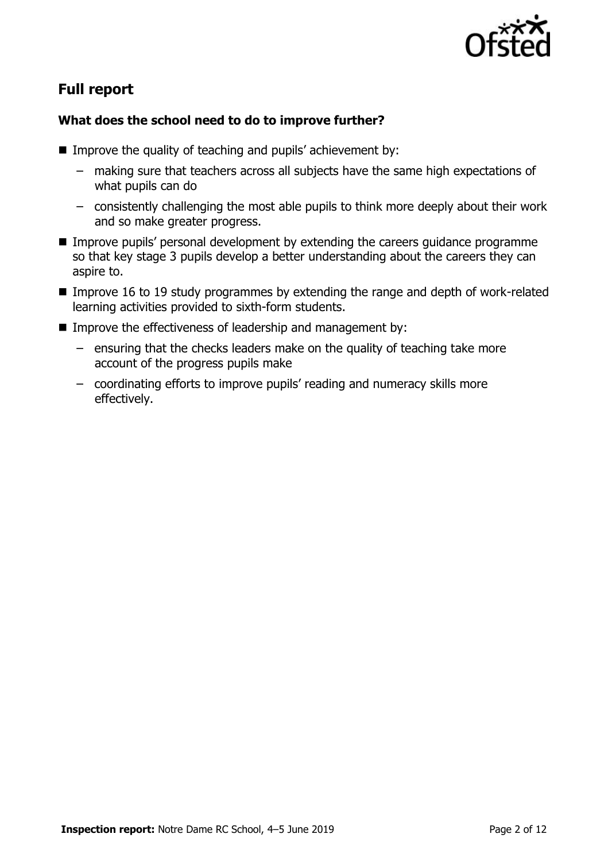

# **Full report**

### **What does the school need to do to improve further?**

- Improve the quality of teaching and pupils' achievement by:
	- making sure that teachers across all subjects have the same high expectations of what pupils can do
	- consistently challenging the most able pupils to think more deeply about their work and so make greater progress.
- **IMPROVE PUPILS' personal development by extending the careers guidance programme** so that key stage 3 pupils develop a better understanding about the careers they can aspire to.
- Improve 16 to 19 study programmes by extending the range and depth of work-related learning activities provided to sixth-form students.
- Improve the effectiveness of leadership and management by:
	- ensuring that the checks leaders make on the quality of teaching take more account of the progress pupils make
	- coordinating efforts to improve pupils' reading and numeracy skills more effectively.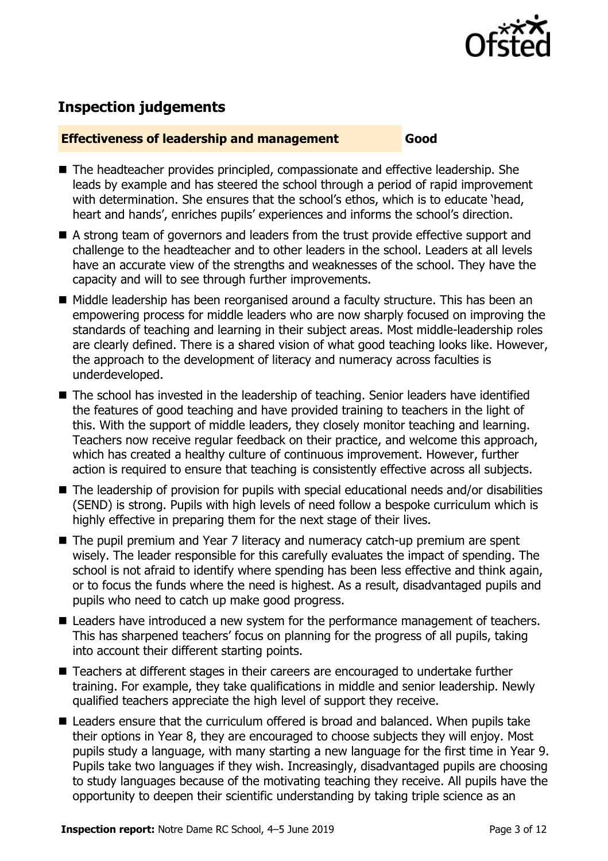

# **Inspection judgements**

#### **Effectiveness of leadership and management Good**

- The headteacher provides principled, compassionate and effective leadership. She leads by example and has steered the school through a period of rapid improvement with determination. She ensures that the school's ethos, which is to educate 'head, heart and hands', enriches pupils' experiences and informs the school's direction.
- A strong team of governors and leaders from the trust provide effective support and challenge to the headteacher and to other leaders in the school. Leaders at all levels have an accurate view of the strengths and weaknesses of the school. They have the capacity and will to see through further improvements.
- Middle leadership has been reorganised around a faculty structure. This has been an empowering process for middle leaders who are now sharply focused on improving the standards of teaching and learning in their subject areas. Most middle-leadership roles are clearly defined. There is a shared vision of what good teaching looks like. However, the approach to the development of literacy and numeracy across faculties is underdeveloped.
- The school has invested in the leadership of teaching. Senior leaders have identified the features of good teaching and have provided training to teachers in the light of this. With the support of middle leaders, they closely monitor teaching and learning. Teachers now receive regular feedback on their practice, and welcome this approach, which has created a healthy culture of continuous improvement. However, further action is required to ensure that teaching is consistently effective across all subjects.
- The leadership of provision for pupils with special educational needs and/or disabilities (SEND) is strong. Pupils with high levels of need follow a bespoke curriculum which is highly effective in preparing them for the next stage of their lives.
- The pupil premium and Year 7 literacy and numeracy catch-up premium are spent wisely. The leader responsible for this carefully evaluates the impact of spending. The school is not afraid to identify where spending has been less effective and think again, or to focus the funds where the need is highest. As a result, disadvantaged pupils and pupils who need to catch up make good progress.
- Leaders have introduced a new system for the performance management of teachers. This has sharpened teachers' focus on planning for the progress of all pupils, taking into account their different starting points.
- Teachers at different stages in their careers are encouraged to undertake further training. For example, they take qualifications in middle and senior leadership. Newly qualified teachers appreciate the high level of support they receive.
- Leaders ensure that the curriculum offered is broad and balanced. When pupils take their options in Year 8, they are encouraged to choose subjects they will enjoy. Most pupils study a language, with many starting a new language for the first time in Year 9. Pupils take two languages if they wish. Increasingly, disadvantaged pupils are choosing to study languages because of the motivating teaching they receive. All pupils have the opportunity to deepen their scientific understanding by taking triple science as an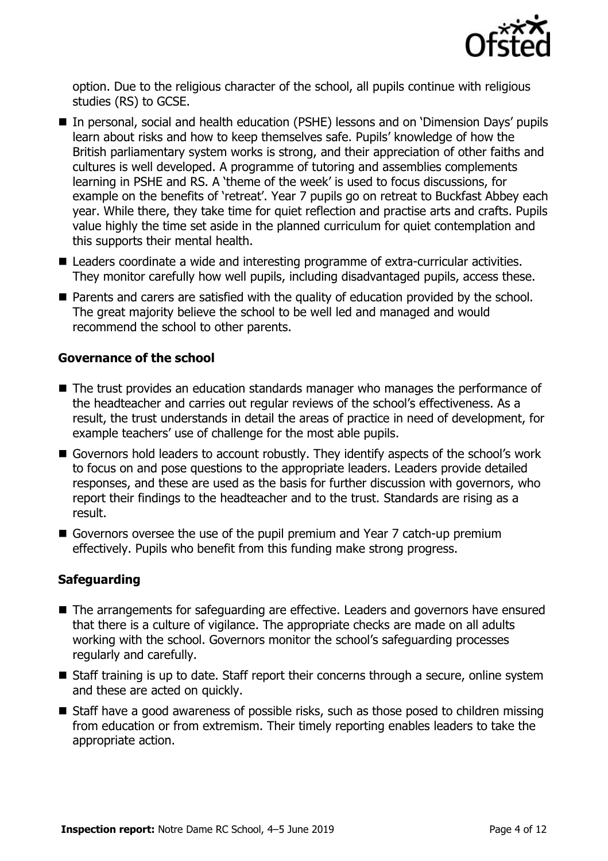

option. Due to the religious character of the school, all pupils continue with religious studies (RS) to GCSE.

- In personal, social and health education (PSHE) lessons and on 'Dimension Days' pupils learn about risks and how to keep themselves safe. Pupils' knowledge of how the British parliamentary system works is strong, and their appreciation of other faiths and cultures is well developed. A programme of tutoring and assemblies complements learning in PSHE and RS. A 'theme of the week' is used to focus discussions, for example on the benefits of 'retreat'. Year 7 pupils go on retreat to Buckfast Abbey each year. While there, they take time for quiet reflection and practise arts and crafts. Pupils value highly the time set aside in the planned curriculum for quiet contemplation and this supports their mental health.
- Leaders coordinate a wide and interesting programme of extra-curricular activities. They monitor carefully how well pupils, including disadvantaged pupils, access these.
- **Parents and carers are satisfied with the quality of education provided by the school.** The great majority believe the school to be well led and managed and would recommend the school to other parents.

#### **Governance of the school**

- The trust provides an education standards manager who manages the performance of the headteacher and carries out regular reviews of the school's effectiveness. As a result, the trust understands in detail the areas of practice in need of development, for example teachers' use of challenge for the most able pupils.
- Governors hold leaders to account robustly. They identify aspects of the school's work to focus on and pose questions to the appropriate leaders. Leaders provide detailed responses, and these are used as the basis for further discussion with governors, who report their findings to the headteacher and to the trust. Standards are rising as a result.
- Governors oversee the use of the pupil premium and Year 7 catch-up premium effectively. Pupils who benefit from this funding make strong progress.

#### **Safeguarding**

- The arrangements for safeguarding are effective. Leaders and governors have ensured that there is a culture of vigilance. The appropriate checks are made on all adults working with the school. Governors monitor the school's safeguarding processes regularly and carefully.
- Staff training is up to date. Staff report their concerns through a secure, online system and these are acted on quickly.
- Staff have a good awareness of possible risks, such as those posed to children missing from education or from extremism. Their timely reporting enables leaders to take the appropriate action.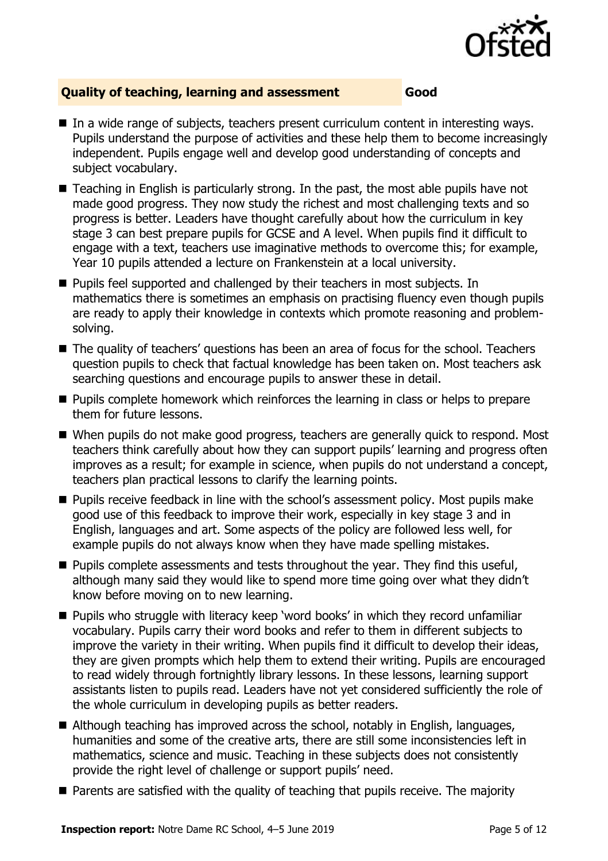

#### **Quality of teaching, learning and assessment Good**

- In a wide range of subjects, teachers present curriculum content in interesting ways. Pupils understand the purpose of activities and these help them to become increasingly independent. Pupils engage well and develop good understanding of concepts and subject vocabulary.
- Teaching in English is particularly strong. In the past, the most able pupils have not made good progress. They now study the richest and most challenging texts and so progress is better. Leaders have thought carefully about how the curriculum in key stage 3 can best prepare pupils for GCSE and A level. When pupils find it difficult to engage with a text, teachers use imaginative methods to overcome this; for example, Year 10 pupils attended a lecture on Frankenstein at a local university.
- **Pupils feel supported and challenged by their teachers in most subjects. In** mathematics there is sometimes an emphasis on practising fluency even though pupils are ready to apply their knowledge in contexts which promote reasoning and problemsolving.
- The quality of teachers' questions has been an area of focus for the school. Teachers question pupils to check that factual knowledge has been taken on. Most teachers ask searching questions and encourage pupils to answer these in detail.
- **Pupils complete homework which reinforces the learning in class or helps to prepare** them for future lessons.
- When pupils do not make good progress, teachers are generally quick to respond. Most teachers think carefully about how they can support pupils' learning and progress often improves as a result; for example in science, when pupils do not understand a concept, teachers plan practical lessons to clarify the learning points.
- **Pupils receive feedback in line with the school's assessment policy. Most pupils make** good use of this feedback to improve their work, especially in key stage 3 and in English, languages and art. Some aspects of the policy are followed less well, for example pupils do not always know when they have made spelling mistakes.
- $\blacksquare$  Pupils complete assessments and tests throughout the year. They find this useful, although many said they would like to spend more time going over what they didn't know before moving on to new learning.
- **Pupils who struggle with literacy keep 'word books' in which they record unfamiliar** vocabulary. Pupils carry their word books and refer to them in different subjects to improve the variety in their writing. When pupils find it difficult to develop their ideas, they are given prompts which help them to extend their writing. Pupils are encouraged to read widely through fortnightly library lessons. In these lessons, learning support assistants listen to pupils read. Leaders have not yet considered sufficiently the role of the whole curriculum in developing pupils as better readers.
- Although teaching has improved across the school, notably in English, languages, humanities and some of the creative arts, there are still some inconsistencies left in mathematics, science and music. Teaching in these subjects does not consistently provide the right level of challenge or support pupils' need.
- **Parents are satisfied with the quality of teaching that pupils receive. The majority**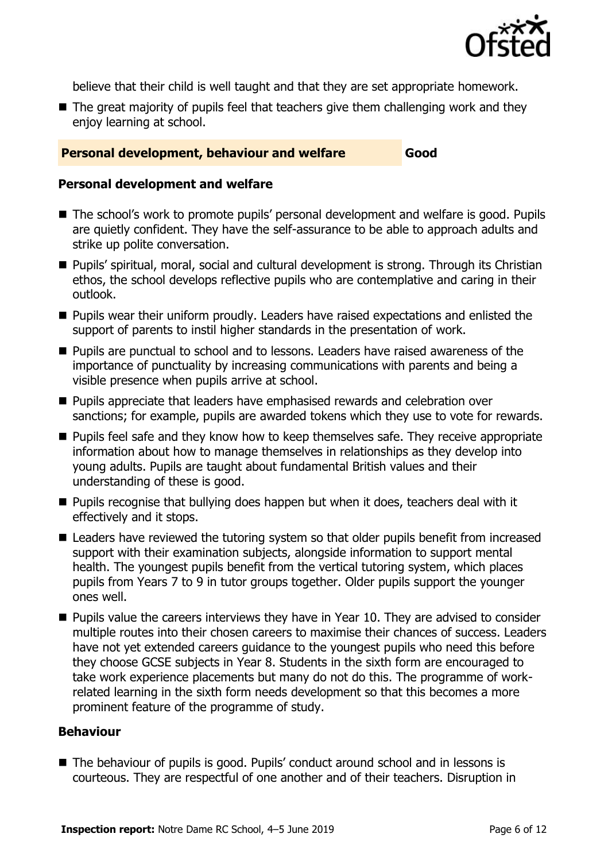

believe that their child is well taught and that they are set appropriate homework.

 $\blacksquare$  The great majority of pupils feel that teachers give them challenging work and they enjoy learning at school.

#### **Personal development, behaviour and welfare <b>Good**

#### **Personal development and welfare**

- The school's work to promote pupils' personal development and welfare is good. Pupils are quietly confident. They have the self-assurance to be able to approach adults and strike up polite conversation.
- Pupils' spiritual, moral, social and cultural development is strong. Through its Christian ethos, the school develops reflective pupils who are contemplative and caring in their outlook.
- **Pupils wear their uniform proudly. Leaders have raised expectations and enlisted the** support of parents to instil higher standards in the presentation of work.
- **Pupils are punctual to school and to lessons. Leaders have raised awareness of the** importance of punctuality by increasing communications with parents and being a visible presence when pupils arrive at school.
- **Pupils appreciate that leaders have emphasised rewards and celebration over** sanctions; for example, pupils are awarded tokens which they use to vote for rewards.
- **Pupils feel safe and they know how to keep themselves safe. They receive appropriate** information about how to manage themselves in relationships as they develop into young adults. Pupils are taught about fundamental British values and their understanding of these is good.
- **Pupils recognise that bullying does happen but when it does, teachers deal with it** effectively and it stops.
- Leaders have reviewed the tutoring system so that older pupils benefit from increased support with their examination subjects, alongside information to support mental health. The youngest pupils benefit from the vertical tutoring system, which places pupils from Years 7 to 9 in tutor groups together. Older pupils support the younger ones well.
- **Pupils value the careers interviews they have in Year 10. They are advised to consider** multiple routes into their chosen careers to maximise their chances of success. Leaders have not yet extended careers guidance to the youngest pupils who need this before they choose GCSE subjects in Year 8. Students in the sixth form are encouraged to take work experience placements but many do not do this. The programme of workrelated learning in the sixth form needs development so that this becomes a more prominent feature of the programme of study.

#### **Behaviour**

■ The behaviour of pupils is good. Pupils' conduct around school and in lessons is courteous. They are respectful of one another and of their teachers. Disruption in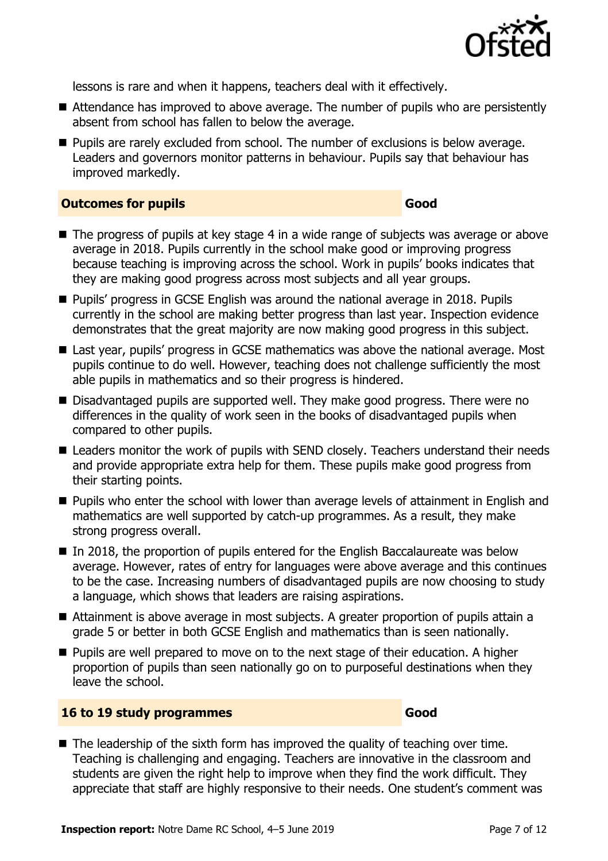

lessons is rare and when it happens, teachers deal with it effectively.

- Attendance has improved to above average. The number of pupils who are persistently absent from school has fallen to below the average.
- **Pupils are rarely excluded from school. The number of exclusions is below average.** Leaders and governors monitor patterns in behaviour. Pupils say that behaviour has improved markedly.

#### **Outcomes for pupils Good**

- The progress of pupils at key stage 4 in a wide range of subjects was average or above average in 2018. Pupils currently in the school make good or improving progress because teaching is improving across the school. Work in pupils' books indicates that they are making good progress across most subjects and all year groups.
- Pupils' progress in GCSE English was around the national average in 2018. Pupils currently in the school are making better progress than last year. Inspection evidence demonstrates that the great majority are now making good progress in this subject.
- Last year, pupils' progress in GCSE mathematics was above the national average. Most pupils continue to do well. However, teaching does not challenge sufficiently the most able pupils in mathematics and so their progress is hindered.
- Disadvantaged pupils are supported well. They make good progress. There were no differences in the quality of work seen in the books of disadvantaged pupils when compared to other pupils.
- Leaders monitor the work of pupils with SEND closely. Teachers understand their needs and provide appropriate extra help for them. These pupils make good progress from their starting points.
- **Pupils who enter the school with lower than average levels of attainment in English and** mathematics are well supported by catch-up programmes. As a result, they make strong progress overall.
- In 2018, the proportion of pupils entered for the English Baccalaureate was below average. However, rates of entry for languages were above average and this continues to be the case. Increasing numbers of disadvantaged pupils are now choosing to study a language, which shows that leaders are raising aspirations.
- Attainment is above average in most subjects. A greater proportion of pupils attain a grade 5 or better in both GCSE English and mathematics than is seen nationally.
- $\blacksquare$  Pupils are well prepared to move on to the next stage of their education. A higher proportion of pupils than seen nationally go on to purposeful destinations when they leave the school.

#### **16 to 19 study programmes Good**

 $\blacksquare$  The leadership of the sixth form has improved the quality of teaching over time. Teaching is challenging and engaging. Teachers are innovative in the classroom and students are given the right help to improve when they find the work difficult. They appreciate that staff are highly responsive to their needs. One student's comment was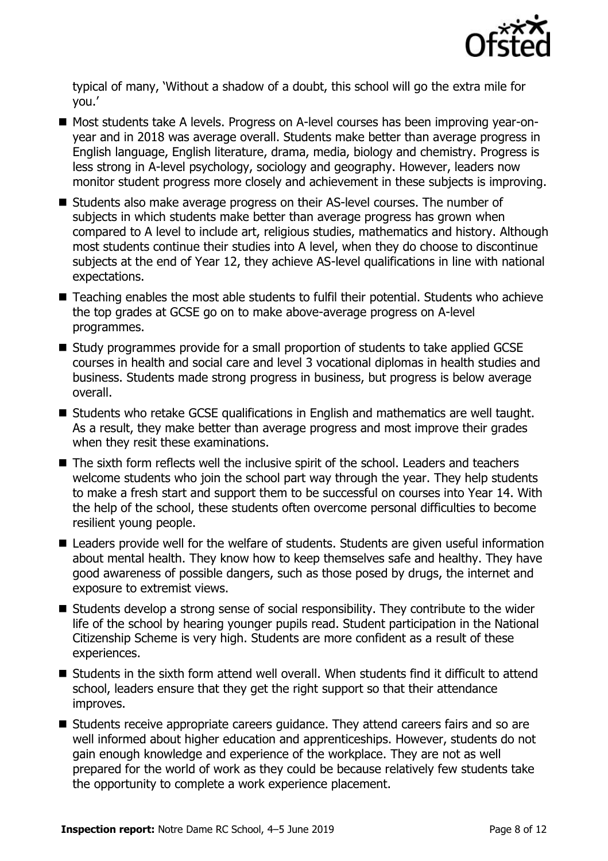

typical of many, 'Without a shadow of a doubt, this school will go the extra mile for you.'

- Most students take A levels. Progress on A-level courses has been improving vear-onyear and in 2018 was average overall. Students make better than average progress in English language, English literature, drama, media, biology and chemistry. Progress is less strong in A-level psychology, sociology and geography. However, leaders now monitor student progress more closely and achievement in these subjects is improving.
- Students also make average progress on their AS-level courses. The number of subjects in which students make better than average progress has grown when compared to A level to include art, religious studies, mathematics and history. Although most students continue their studies into A level, when they do choose to discontinue subjects at the end of Year 12, they achieve AS-level qualifications in line with national expectations.
- Teaching enables the most able students to fulfil their potential. Students who achieve the top grades at GCSE go on to make above-average progress on A-level programmes.
- Study programmes provide for a small proportion of students to take applied GCSE courses in health and social care and level 3 vocational diplomas in health studies and business. Students made strong progress in business, but progress is below average overall.
- Students who retake GCSE qualifications in English and mathematics are well taught. As a result, they make better than average progress and most improve their grades when they resit these examinations.
- The sixth form reflects well the inclusive spirit of the school. Leaders and teachers welcome students who join the school part way through the year. They help students to make a fresh start and support them to be successful on courses into Year 14. With the help of the school, these students often overcome personal difficulties to become resilient young people.
- Leaders provide well for the welfare of students. Students are given useful information about mental health. They know how to keep themselves safe and healthy. They have good awareness of possible dangers, such as those posed by drugs, the internet and exposure to extremist views.
- Students develop a strong sense of social responsibility. They contribute to the wider life of the school by hearing younger pupils read. Student participation in the National Citizenship Scheme is very high. Students are more confident as a result of these experiences.
- Students in the sixth form attend well overall. When students find it difficult to attend school, leaders ensure that they get the right support so that their attendance improves.
- Students receive appropriate careers guidance. They attend careers fairs and so are well informed about higher education and apprenticeships. However, students do not gain enough knowledge and experience of the workplace. They are not as well prepared for the world of work as they could be because relatively few students take the opportunity to complete a work experience placement.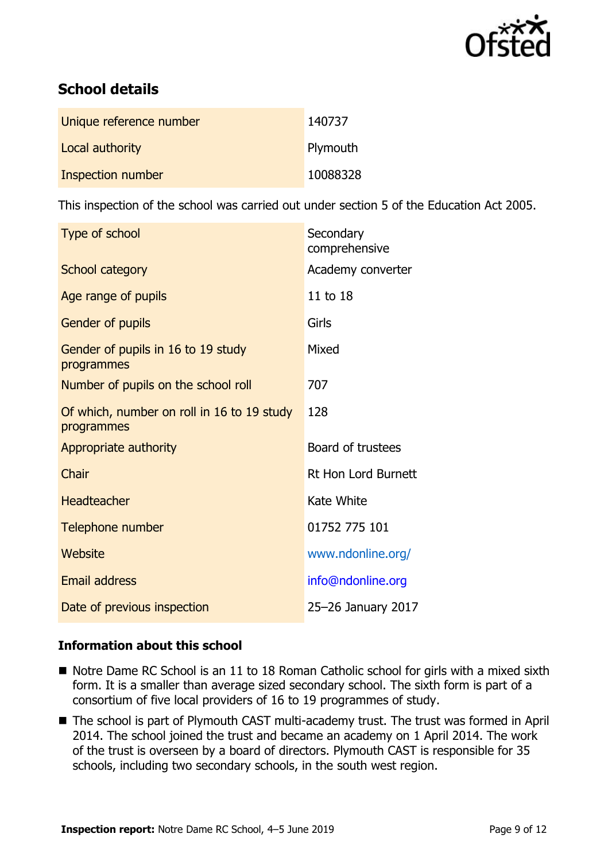

# **School details**

| Unique reference number | 140737   |
|-------------------------|----------|
| Local authority         | Plymouth |
| Inspection number       | 10088328 |

This inspection of the school was carried out under section 5 of the Education Act 2005.

| Type of school                                           | Secondary<br>comprehensive |
|----------------------------------------------------------|----------------------------|
| School category                                          | Academy converter          |
| Age range of pupils                                      | 11 to 18                   |
| <b>Gender of pupils</b>                                  | Girls                      |
| Gender of pupils in 16 to 19 study<br>programmes         | Mixed                      |
| Number of pupils on the school roll                      | 707                        |
| Of which, number on roll in 16 to 19 study<br>programmes | 128                        |
| Appropriate authority                                    | Board of trustees          |
| Chair                                                    | <b>Rt Hon Lord Burnett</b> |
| <b>Headteacher</b>                                       | Kate White                 |
| Telephone number                                         | 01752 775 101              |
| Website                                                  | www.ndonline.org/          |
| <b>Email address</b>                                     | info@ndonline.org          |
| Date of previous inspection                              | 25-26 January 2017         |

#### **Information about this school**

- Notre Dame RC School is an 11 to 18 Roman Catholic school for girls with a mixed sixth form. It is a smaller than average sized secondary school. The sixth form is part of a consortium of five local providers of 16 to 19 programmes of study.
- The school is part of Plymouth CAST multi-academy trust. The trust was formed in April 2014. The school joined the trust and became an academy on 1 April 2014. The work of the trust is overseen by a board of directors. Plymouth CAST is responsible for 35 schools, including two secondary schools, in the south west region.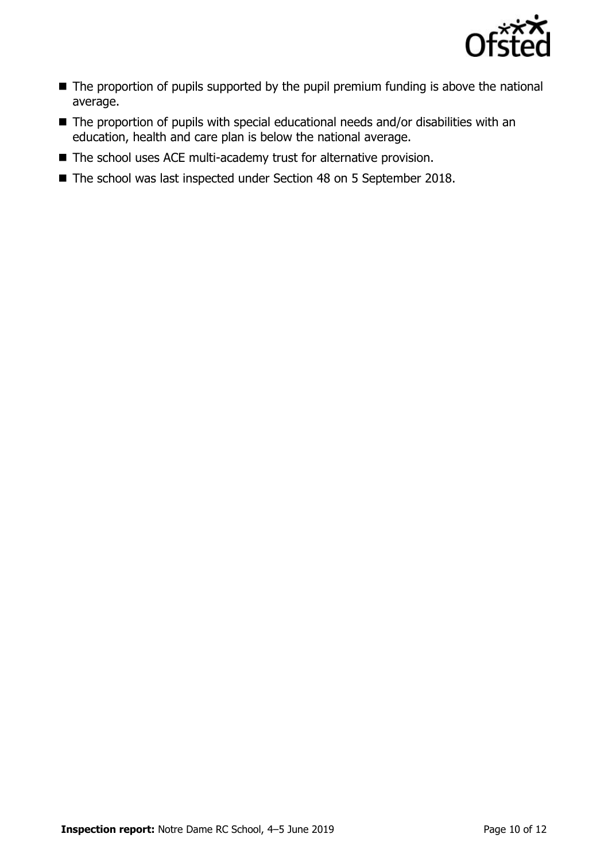

- The proportion of pupils supported by the pupil premium funding is above the national average.
- The proportion of pupils with special educational needs and/or disabilities with an education, health and care plan is below the national average.
- The school uses ACE multi-academy trust for alternative provision.
- The school was last inspected under Section 48 on 5 September 2018.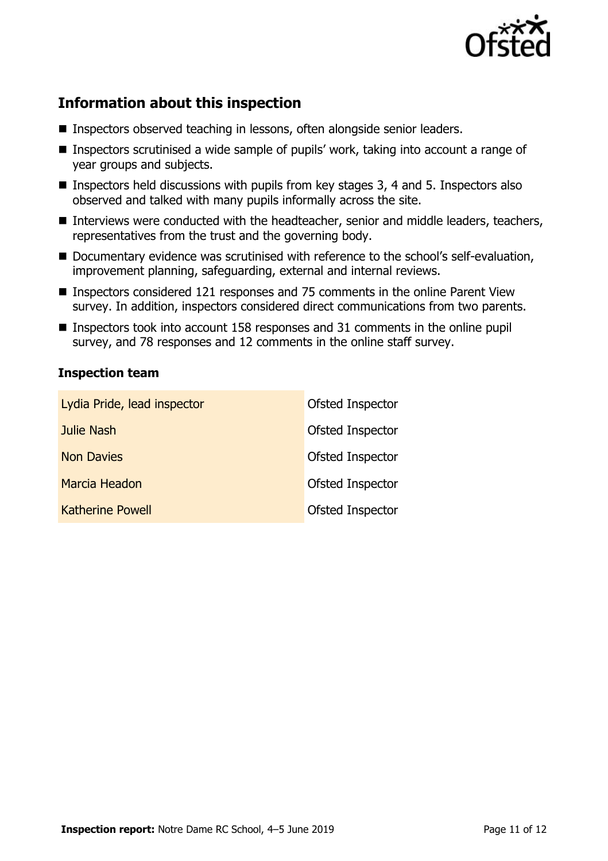

# **Information about this inspection**

- Inspectors observed teaching in lessons, often alongside senior leaders.
- Inspectors scrutinised a wide sample of pupils' work, taking into account a range of year groups and subjects.
- **Inspectors held discussions with pupils from key stages 3, 4 and 5. Inspectors also** observed and talked with many pupils informally across the site.
- Interviews were conducted with the headteacher, senior and middle leaders, teachers, representatives from the trust and the governing body.
- Documentary evidence was scrutinised with reference to the school's self-evaluation, improvement planning, safeguarding, external and internal reviews.
- Inspectors considered 121 responses and 75 comments in the online Parent View survey. In addition, inspectors considered direct communications from two parents.
- Inspectors took into account 158 responses and 31 comments in the online pupil survey, and 78 responses and 12 comments in the online staff survey.

#### **Inspection team**

| Lydia Pride, lead inspector | Ofsted Inspector |
|-----------------------------|------------------|
| Julie Nash                  | Ofsted Inspector |
| <b>Non Davies</b>           | Ofsted Inspector |
| Marcia Headon               | Ofsted Inspector |
| <b>Katherine Powell</b>     | Ofsted Inspector |